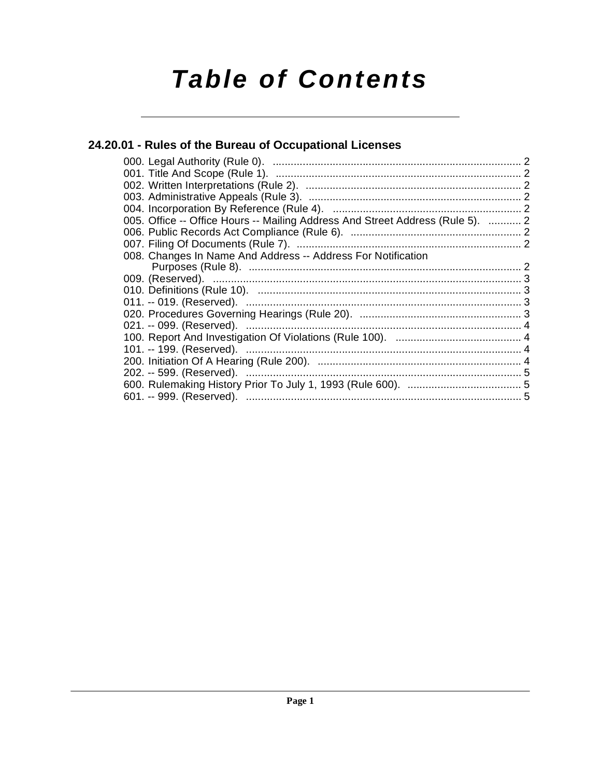# **Table of Contents**

# 24.20.01 - Rules of the Bureau of Occupational Licenses

| 005. Office -- Office Hours -- Mailing Address And Street Address (Rule 5).  2 |  |
|--------------------------------------------------------------------------------|--|
|                                                                                |  |
|                                                                                |  |
| 008. Changes In Name And Address -- Address For Notification                   |  |
|                                                                                |  |
|                                                                                |  |
|                                                                                |  |
|                                                                                |  |
|                                                                                |  |
|                                                                                |  |
|                                                                                |  |
|                                                                                |  |
|                                                                                |  |
|                                                                                |  |
|                                                                                |  |
|                                                                                |  |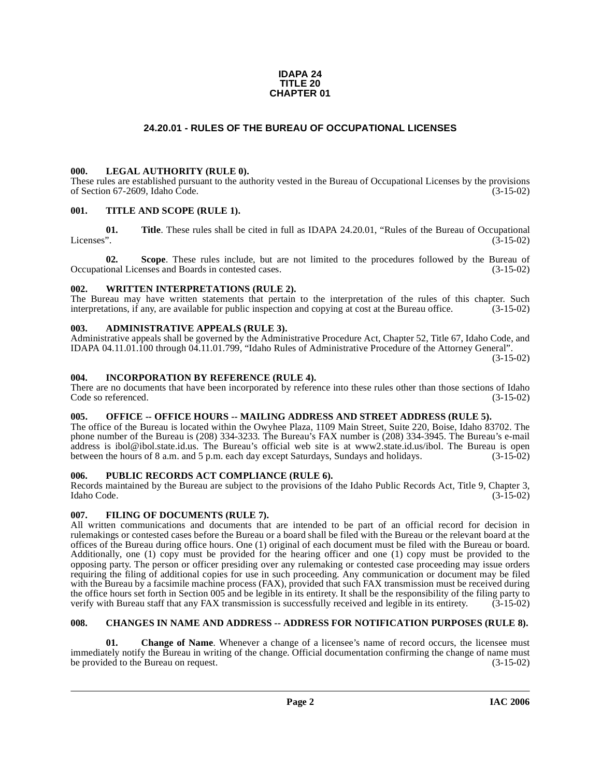#### **IDAPA 24 TITLE 20 CHAPTER 01**

### **24.20.01 - RULES OF THE BUREAU OF OCCUPATIONAL LICENSES**

#### <span id="page-1-1"></span><span id="page-1-0"></span>**000. LEGAL AUTHORITY (RULE 0).**

These rules are established pursuant to the authority vested in the Bureau of Occupational Licenses by the provisions of Section 67-2609, Idaho Code. (3-15-02) of Section 67-2609, Idaho Code.

#### <span id="page-1-2"></span>**001. TITLE AND SCOPE (RULE 1).**

**01.** Title. These rules shall be cited in full as IDAPA 24.20.01, "Rules of the Bureau of Occupational Licenses". Licenses". (3-15-02)

**02.** Scope. These rules include, but are not limited to the procedures followed by the Bureau of ional Licenses and Boards in contested cases. (3-15-02) Occupational Licenses and Boards in contested cases.

#### <span id="page-1-3"></span>**002. WRITTEN INTERPRETATIONS (RULE 2).**

The Bureau may have written statements that pertain to the interpretation of the rules of this chapter. Such interpretations, if any, are available for public inspection and copying at cost at the Bureau office. (3-15-02) interpretations, if any, are available for public inspection and copying at cost at the Bureau office.

#### <span id="page-1-4"></span>**003. ADMINISTRATIVE APPEALS (RULE 3).**

Administrative appeals shall be governed by the Administrative Procedure Act, Chapter 52, Title 67, Idaho Code, and IDAPA 04.11.01.100 through 04.11.01.799, "Idaho Rules of Administrative Procedure of the Attorney General".

(3-15-02)

#### <span id="page-1-5"></span>**004. INCORPORATION BY REFERENCE (RULE 4).**

There are no documents that have been incorporated by reference into these rules other than those sections of Idaho<br>Code so referenced. (3-15-02) Code so referenced.

### <span id="page-1-6"></span>**005. OFFICE -- OFFICE HOURS -- MAILING ADDRESS AND STREET ADDRESS (RULE 5).**

[The office of the Bureau is located within the Owyhee Plaza, 1109 Main Street, Suite 220, Boise, Idaho 83702. The](https://www.ibol.idaho.gov/) phone number of the Bureau is (208) 334-3233. The Bureau's FAX number is (208) 334-3945. The Bureau's e-mail address is ibol@ibol.state.id.us. The Bureau's official web site is at www2.state.id.us/ibol. The Bureau is open between the hours of 8 a.m. and 5 p.m. each day except Saturdays, Sundays and holidays. (3-15-02)

#### <span id="page-1-7"></span>**006. PUBLIC RECORDS ACT COMPLIANCE (RULE 6).**

Records maintained by the Bureau are subject to the provisions of the Idaho Public Records Act, Title 9, Chapter 3, Idaho Code. (3-15-02)

#### <span id="page-1-8"></span>**007. FILING OF DOCUMENTS (RULE 7).**

All written communications and documents that are intended to be part of an official record for decision in rulemakings or contested cases before the Bureau or a board shall be filed with the Bureau or the relevant board at the offices of the Bureau during office hours. One (1) original of each document must be filed with the Bureau or board. Additionally, one (1) copy must be provided for the hearing officer and one (1) copy must be provided to the opposing party. The person or officer presiding over any rulemaking or contested case proceeding may issue orders requiring the filing of additional copies for use in such proceeding. Any communication or document may be filed with the Bureau by a facsimile machine process (FAX), provided that such FAX transmission must be received during the office hours set forth in Section 005 and be legible in its entirety. It shall be the responsibility of the filing party to verify with Bureau staff that any FAX transmission is successfully received and legible in its verify with Bureau staff that any FAX transmission is successfully received and legible in its entirety.

#### <span id="page-1-9"></span>**008. CHANGES IN NAME AND ADDRESS -- ADDRESS FOR NOTIFICATION PURPOSES (RULE 8).**

**Change of Name.** Whenever a change of a licensee's name of record occurs, the licensee must immediately notify the Bureau in writing of the change. Official documentation confirming the change of name must<br>be provided to the Bureau on request. (3-15-02) be provided to the Bureau on request.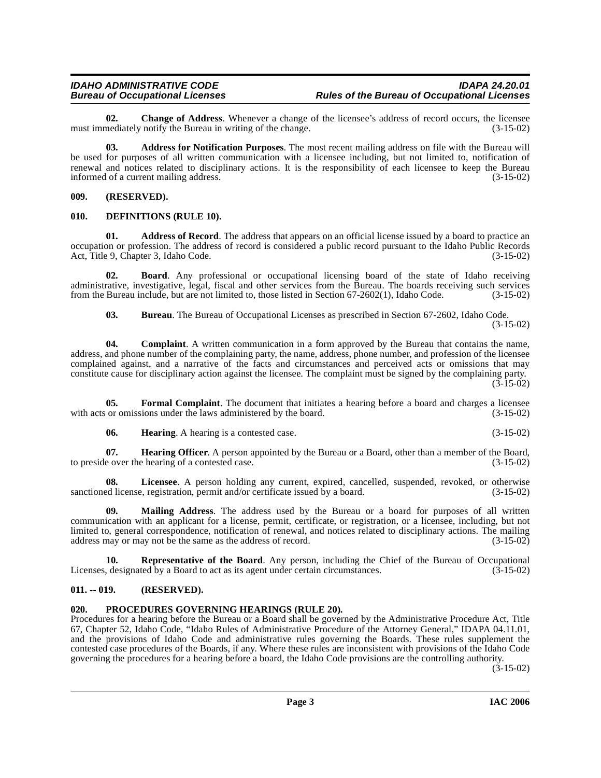**02.** Change of Address. Whenever a change of the licensee's address of record occurs, the licensee nediately notify the Bureau in writing of the change. (3-15-02) must immediately notify the Bureau in writing of the change.

**03. Address for Notification Purposes**. The most recent mailing address on file with the Bureau will be used for purposes of all written communication with a licensee including, but not limited to, notification of renewal and notices related to disciplinary actions. It is the responsibility of each licensee to keep the Bureau<br>informed of a current mailing address. (3-15-02) informed of a current mailing address.

#### <span id="page-2-0"></span>**009. (RESERVED).**

#### <span id="page-2-4"></span><span id="page-2-1"></span>**010. DEFINITIONS (RULE 10).**

**01. Address of Record**. The address that appears on an official license issued by a board to practice an occupation or profession. The address of record is considered a public record pursuant to the Idaho Public Records Act, Title 9, Chapter 3, Idaho Code. (3-15-02)

**02. Board**. Any professional or occupational licensing board of the state of Idaho receiving administrative, investigative, legal, fiscal and other services from the Bureau. The boards receiving such services from the Bureau include, but are not limited to, those listed in Section 67-2602(1), Idaho Code. (3-15-02)

**03. Bureau**. The Bureau of Occupational Licenses as prescribed in Section 67-2602, Idaho Code. (3-15-02)

**04. Complaint**. A written communication in a form approved by the Bureau that contains the name, address, and phone number of the complaining party, the name, address, phone number, and profession of the licensee complained against, and a narrative of the facts and circumstances and perceived acts or omissions that may constitute cause for disciplinary action against the licensee. The complaint must be signed by the complaining party.  $(3 - 15 - 02)$ 

**05. Formal Complaint**. The document that initiates a hearing before a board and charges a licensee or omissions under the laws administered by the board. (3-15-02) with acts or omissions under the laws administered by the board.

<span id="page-2-5"></span>**06. Hearing**. A hearing is a contested case. (3-15-02)

**07. Hearing Officer**. A person appointed by the Bureau or a Board, other than a member of the Board, e over the hearing of a contested case. to preside over the hearing of a contested case.

**08.** Licensee. A person holding any current, expired, cancelled, suspended, revoked, or otherwise ed license, registration, permit and/or certificate issued by a board. (3-15-02) sanctioned license, registration, permit and/or certificate issued by a board.

**09. Mailing Address**. The address used by the Bureau or a board for purposes of all written communication with an applicant for a license, permit, certificate, or registration, or a licensee, including, but not limited to, general correspondence, notification of renewal, and notices related to disciplinary actions. The mailing address may or may not be the same as the address of record. (3-15-02) address may or may not be the same as the address of record.

<span id="page-2-7"></span>**10. Representative of the Board**. Any person, including the Chief of the Bureau of Occupational Licenses, designated by a Board to act as its agent under certain circumstances. (3-15-02)

#### <span id="page-2-2"></span>**011. -- 019. (RESERVED).**

#### <span id="page-2-6"></span><span id="page-2-3"></span>**020. PROCEDURES GOVERNING HEARINGS (RULE 20).**

Procedures for a hearing before the Bureau or a Board shall be governed by the Administrative Procedure Act, Title 67, Chapter 52, Idaho Code, "Idaho Rules of Administrative Procedure of the Attorney General," IDAPA 04.11.01, and the provisions of Idaho Code and administrative rules governing the Boards. These rules supplement the contested case procedures of the Boards, if any. Where these rules are inconsistent with provisions of the Idaho Code governing the procedures for a hearing before a board, the Idaho Code provisions are the controlling authority.

(3-15-02)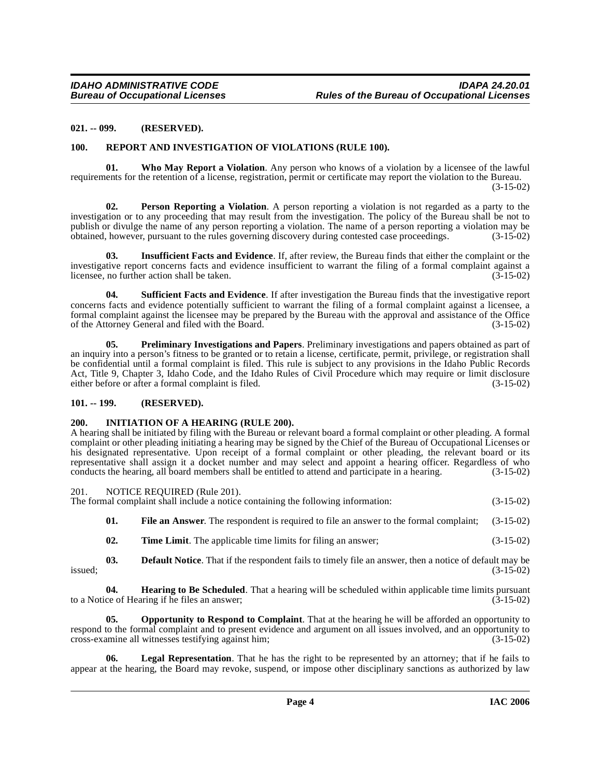#### <span id="page-3-0"></span>**021. -- 099. (RESERVED).**

#### <span id="page-3-10"></span><span id="page-3-8"></span><span id="page-3-1"></span>**100. REPORT AND INVESTIGATION OF VIOLATIONS (RULE 100).**

**01. Who May Report a Violation**. Any person who knows of a violation by a licensee of the lawful requirements for the retention of a license, registration, permit or certificate may report the violation to the Bureau. (3-15-02)

**02. Person Reporting a Violation**. A person reporting a violation is not regarded as a party to the investigation or to any proceeding that may result from the investigation. The policy of the Bureau shall be not to publish or divulge the name of any person reporting a violation. The name of a person reporting a violation may be obtained, however, pursuant to the rules governing discovery during contested case proceedings. (3-15-02) obtained, however, pursuant to the rules governing discovery during contested case proceedings. (3-15-02)

<span id="page-3-5"></span>**03. Insufficient Facts and Evidence**. If, after review, the Bureau finds that either the complaint or the investigative report concerns facts and evidence insufficient to warrant the filing of a formal complaint against a licensee, no further action shall be taken. (3-15-02) licensee, no further action shall be taken.

<span id="page-3-9"></span>**04. Sufficient Facts and Evidence**. If after investigation the Bureau finds that the investigative report concerns facts and evidence potentially sufficient to warrant the filing of a formal complaint against a licensee, a formal complaint against the licensee may be prepared by the Bureau with the approval and assistance of the Office<br>of the Attorney General and filed with the Board. of the Attorney General and filed with the Board.

<span id="page-3-7"></span>**05. Preliminary Investigations and Papers**. Preliminary investigations and papers obtained as part of an inquiry into a person's fitness to be granted or to retain a license, certificate, permit, privilege, or registration shall be confidential until a formal complaint is filed. This rule is subject to any provisions in the Idaho Public Records Act, Title 9, Chapter 3, Idaho Code, and the Idaho Rules of Civil Procedure which may require or limit disclosure either before or after a formal complaint is filed. (3-15-02) either before or after a formal complaint is filed.

#### <span id="page-3-2"></span>**101. -- 199. (RESERVED).**

#### <span id="page-3-4"></span><span id="page-3-3"></span>**200. INITIATION OF A HEARING (RULE 200).**

A hearing shall be initiated by filing with the Bureau or relevant board a formal complaint or other pleading. A formal complaint or other pleading initiating a hearing may be signed by the Chief of the Bureau of Occupational Licenses or his designated representative. Upon receipt of a formal complaint or other pleading, the relevant board or its representative shall assign it a docket number and may select and appoint a hearing officer. Regardless of who conducts the hearing, all board members shall be entitled to attend and participate in a hearing. (3-15-02) conducts the hearing, all board members shall be entitled to attend and participate in a hearing.

#### <span id="page-3-6"></span>201. NOTICE REQUIRED (Rule 201).

| The formal complaint shall include a notice containing the following information: | $(3-15-02)$ |
|-----------------------------------------------------------------------------------|-------------|
|-----------------------------------------------------------------------------------|-------------|

- **01. File an Answer**. The respondent is required to file an answer to the formal complaint; (3-15-02)
- **02. Time Limit**. The applicable time limits for filing an answer; (3-15-02)

**03. Default Notice**. That if the respondent fails to timely file an answer, then a notice of default may be  $is sued;$  (3-15-02)

**04. Hearing to Be Scheduled**. That a hearing will be scheduled within applicable time limits pursuant ce of Hearing if he files an answer; (3-15-02) to a Notice of Hearing if he files an answer;

**05. Opportunity to Respond to Complaint**. That at the hearing he will be afforded an opportunity to respond to the formal complaint and to present evidence and argument on all issues involved, and an opportunity to cross-examine all witnesses testifying against him: (3-15-02) cross-examine all witnesses testifying against him;

**Legal Representation**. That he has the right to be represented by an attorney; that if he fails to appear at the hearing, the Board may revoke, suspend, or impose other disciplinary sanctions as authorized by law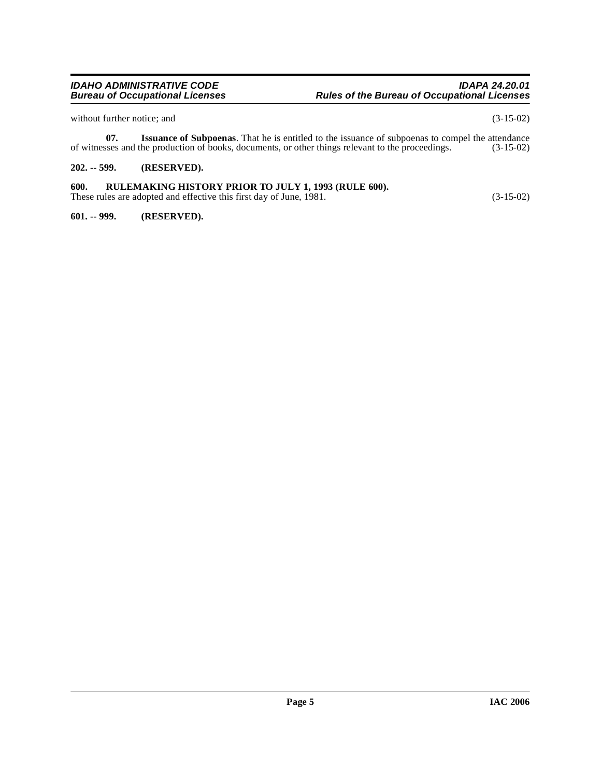without further notice; and (3-15-02)

**07.** Issuance of Subpoenas. That he is entitled to the issuance of subpoenas to compel the attendance sees and the production of books, documents, or other things relevant to the proceedings. (3-15-02) of witnesses and the production of books, documents, or other things relevant to the proceedings.

# <span id="page-4-0"></span>**202. -- 599. (RESERVED).**

# <span id="page-4-1"></span>**600. RULEMAKING HISTORY PRIOR TO JULY 1, 1993 (RULE 600).**

These rules are adopted and effective this first day of June, 1981. (3-15-02)

<span id="page-4-2"></span>**601. -- 999. (RESERVED).**